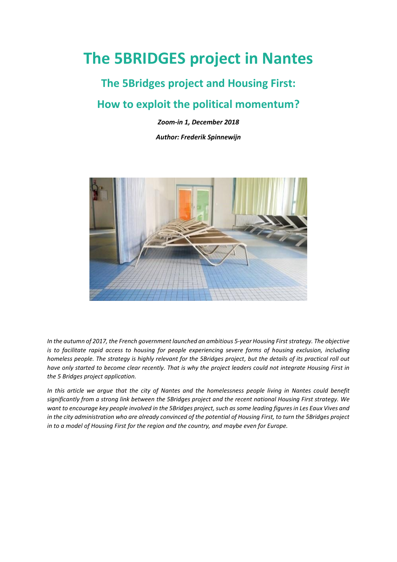# **The 5BRIDGES project in Nantes**

# **The 5Bridges project and Housing First:**

## **How to exploit the political momentum?**

*Zoom-in 1, December 2018*

*Author: Frederik Spinnewijn*



*In the autumn of 2017, the French government launched an ambitious 5-year Housing First strategy. The objective is to facilitate rapid access to housing for people experiencing severe forms of housing exclusion, including homeless people. The strategy is highly relevant for the 5Bridges project, but the details of its practical roll out have only started to become clear recently. That is why the project leaders could not integrate Housing First in the 5 Bridges project application.* 

In this article we argue that the city of Nantes and the homelessness people living in Nantes could benefit *significantly from a strong link between the 5Bridges project and the recent national Housing First strategy. We want to encourage key people involved in the 5Bridges project, such as some leading figures in Les Eaux Vives and in the city administration who are already convinced of the potential of Housing First, to turn the 5Bridges project in to a model of Housing First for the region and the country, and maybe even for Europe.*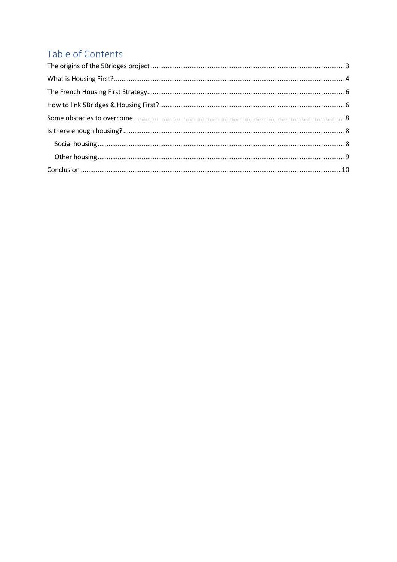# Table of Contents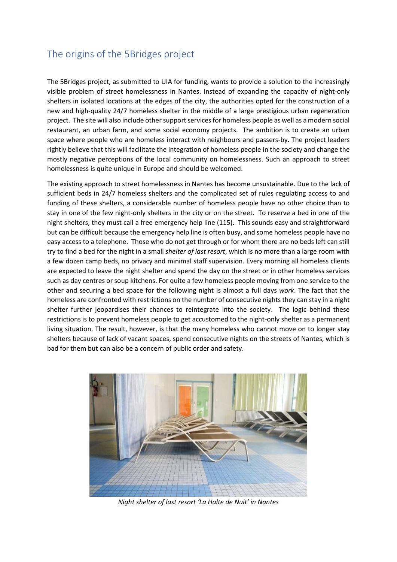## <span id="page-2-0"></span>The origins of the 5Bridges project

The 5Bridges project, as submitted to UIA for funding, wants to provide a solution to the increasingly visible problem of street homelessness in Nantes. Instead of expanding the capacity of night-only shelters in isolated locations at the edges of the city, the authorities opted for the construction of a new and high-quality 24/7 homeless shelter in the middle of a large prestigious urban regeneration project. The site will also include other support services for homeless people as well as a modern social restaurant, an urban farm, and some social economy projects. The ambition is to create an urban space where people who are homeless interact with neighbours and passers-by. The project leaders rightly believe that this will facilitate the integration of homeless people in the society and change the mostly negative perceptions of the local community on homelessness. Such an approach to street homelessness is quite unique in Europe and should be welcomed.

The existing approach to street homelessness in Nantes has become unsustainable. Due to the lack of sufficient beds in 24/7 homeless shelters and the complicated set of rules regulating access to and funding of these shelters, a considerable number of homeless people have no other choice than to stay in one of the few night-only shelters in the city or on the street. To reserve a bed in one of the night shelters, they must call a free emergency help line (115). This sounds easy and straightforward but can be difficult because the emergency help line is often busy, and some homeless people have no easy access to a telephone. Those who do not get through or for whom there are no beds left can still try to find a bed for the night in a small *shelter of last resort*, which is no more than a large room with a few dozen camp beds, no privacy and minimal staff supervision. Every morning all homeless clients are expected to leave the night shelter and spend the day on the street or in other homeless services such as day centres or soup kitchens. For quite a few homeless people moving from one service to the other and securing a bed space for the following night is almost a full days *work*. The fact that the homeless are confronted with restrictions on the number of consecutive nights they can stay in a night shelter further jeopardises their chances to reintegrate into the society. The logic behind these restrictions is to prevent homeless people to get accustomed to the night-only shelter as a permanent living situation. The result, however, is that the many homeless who cannot move on to longer stay shelters because of lack of vacant spaces, spend consecutive nights on the streets of Nantes, which is bad for them but can also be a concern of public order and safety.



*Night shelter of last resort 'La Halte de Nuit' in Nantes*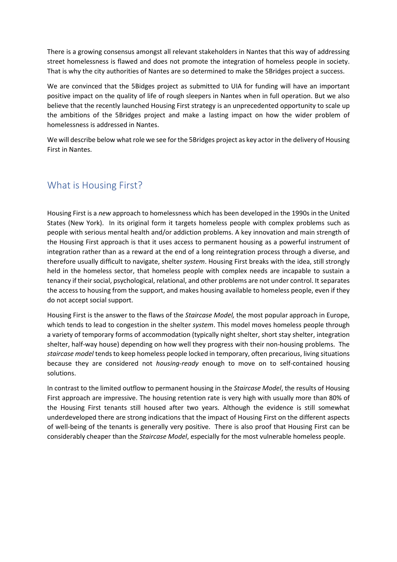There is a growing consensus amongst all relevant stakeholders in Nantes that this way of addressing street homelessness is flawed and does not promote the integration of homeless people in society. That is why the city authorities of Nantes are so determined to make the 5Bridges project a success.

We are convinced that the 5Bidges project as submitted to UIA for funding will have an important positive impact on the quality of life of rough sleepers in Nantes when in full operation. But we also believe that the recently launched Housing First strategy is an unprecedented opportunity to scale up the ambitions of the 5Bridges project and make a lasting impact on how the wider problem of homelessness is addressed in Nantes.

We will describe below what role we see for the 5Bridges project as key actor in the delivery of Housing First in Nantes.

#### <span id="page-3-0"></span>What is Housing First?

Housing First is a *new* approach to homelessness which has been developed in the 1990s in the United States (New York). In its original form it targets homeless people with complex problems such as people with serious mental health and/or addiction problems. A key innovation and main strength of the Housing First approach is that it uses access to permanent housing as a powerful instrument of integration rather than as a reward at the end of a long reintegration process through a diverse, and therefore usually difficult to navigate, shelter *system*. Housing First breaks with the idea, still strongly held in the homeless sector, that homeless people with complex needs are incapable to sustain a tenancy if their social, psychological, relational, and other problems are not under control. It separates the access to housing from the support, and makes housing available to homeless people, even if they do not accept social support.

Housing First is the answer to the flaws of the *Staircase Model,* the most popular approach in Europe, which tends to lead to congestion in the shelter *system*. This model moves homeless people through a variety of temporary forms of accommodation (typically night shelter, short stay shelter, integration shelter, half-way house) depending on how well they progress with their non-housing problems. The *staircase model* tends to keep homeless people locked in temporary, often precarious, living situations because they are considered not *housing-ready* enough to move on to self-contained housing solutions.

In contrast to the limited outflow to permanent housing in the *Staircase Model*, the results of Housing First approach are impressive. The housing retention rate is very high with usually more than 80% of the Housing First tenants still housed after two years. Although the evidence is still somewhat underdeveloped there are strong indications that the impact of Housing First on the different aspects of well-being of the tenants is generally very positive. There is also proof that Housing First can be considerably cheaper than the *Staircase Model*, especially for the most vulnerable homeless people.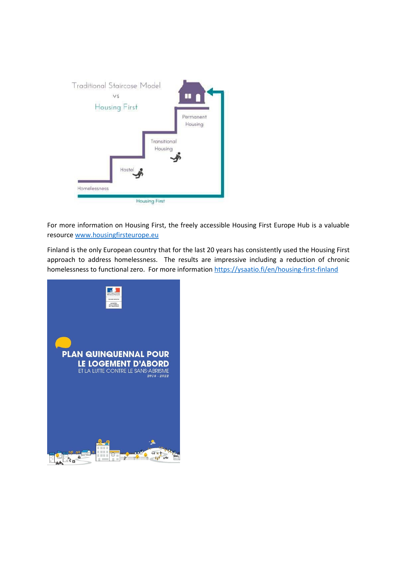

For more information on Housing First, the freely accessible Housing First Europe Hub is a valuable resourc[e www.housingfirsteurope.eu](http://www.housingfirsteurope.eu/)

Finland is the only European country that for the last 20 years has consistently used the Housing First approach to address homelessness. The results are impressive including a reduction of chronic homelessness to functional zero. For more informatio[n https://ysaatio.fi/en/housing-first-finland](https://ysaatio.fi/en/housing-first-finland)

<span id="page-4-0"></span>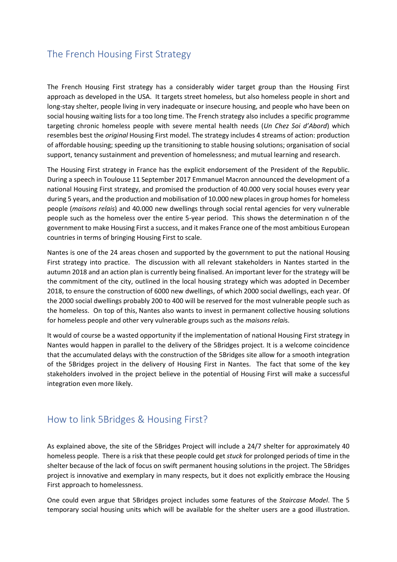## The French Housing First Strategy

The French Housing First strategy has a considerably wider target group than the Housing First approach as developed in the USA. It targets street homeless, but also homeless people in short and long-stay shelter, people living in very inadequate or insecure housing, and people who have been on social housing waiting lists for a too long time. The French strategy also includes a specific programme targeting chronic homeless people with severe mental health needs (*Un Chez Soi d'Abord*) which resembles best the *original* Housing First model. The strategy includes 4 streams of action: production of affordable housing; speeding up the transitioning to stable housing solutions; organisation of social support, tenancy sustainment and prevention of homelessness; and mutual learning and research.

The Housing First strategy in France has the explicit endorsement of the President of the Republic. During a speech in Toulouse 11 September 2017 Emmanuel Macron announced the development of a national Housing First strategy, and promised the production of 40.000 very social houses every year during 5 years, and the production and mobilisation of 10.000 new places in group homes for homeless people (*maisons relais*) and 40.000 new dwellings through social rental agencies for very vulnerable people such as the homeless over the entire 5-year period. This shows the determination n of the government to make Housing First a success, and it makes France one of the most ambitious European countries in terms of bringing Housing First to scale.

Nantes is one of the 24 areas chosen and supported by the government to put the national Housing First strategy into practice. The discussion with all relevant stakeholders in Nantes started in the autumn 2018 and an action plan is currently being finalised. An important lever for the strategy will be the commitment of the city, outlined in the local housing strategy which was adopted in December 2018, to ensure the construction of 6000 new dwellings, of which 2000 social dwellings, each year. Of the 2000 social dwellings probably 200 to 400 will be reserved for the most vulnerable people such as the homeless. On top of this, Nantes also wants to invest in permanent collective housing solutions for homeless people and other very vulnerable groups such as the *maisons relai*s.

It would of course be a wasted opportunity if the implementation of national Housing First strategy in Nantes would happen in parallel to the delivery of the 5Bridges project. It is a welcome coincidence that the accumulated delays with the construction of the 5Bridges site allow for a smooth integration of the 5Bridges project in the delivery of Housing First in Nantes. The fact that some of the key stakeholders involved in the project believe in the potential of Housing First will make a successful integration even more likely.

#### <span id="page-5-0"></span>How to link 5Bridges & Housing First?

As explained above, the site of the 5Bridges Project will include a 24/7 shelter for approximately 40 homeless people. There is a risk that these people could get *stuck* for prolonged periods of time in the shelter because of the lack of focus on swift permanent housing solutions in the project. The 5Bridges project is innovative and exemplary in many respects, but it does not explicitly embrace the Housing First approach to homelessness.

One could even argue that 5Bridges project includes some features of the *Staircase Model*. The 5 temporary social housing units which will be available for the shelter users are a good illustration.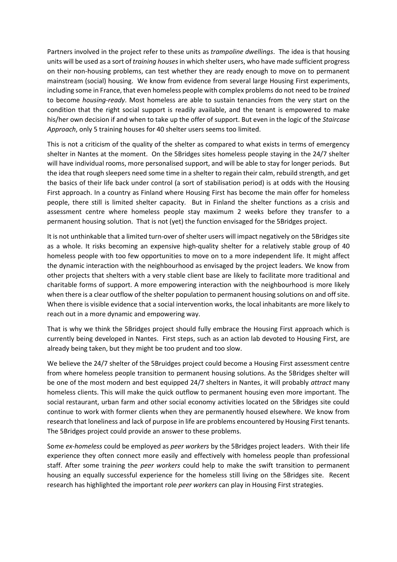Partners involved in the project refer to these units as *trampoline dwellings*. The idea is that housing units will be used as a sort of *training houses*in which shelter users, who have made sufficient progress on their non-housing problems, can test whether they are ready enough to move on to permanent mainstream (social) housing. We know from evidence from several large Housing First experiments, including some in France, that even homeless people with complex problems do not need to be *trained* to become *housing-ready*. Most homeless are able to sustain tenancies from the very start on the condition that the right social support is readily available, and the tenant is empowered to make his/her own decision if and when to take up the offer of support. But even in the logic of the *Staircase Approach*, only 5 training houses for 40 shelter users seems too limited.

This is not a criticism of the quality of the shelter as compared to what exists in terms of emergency shelter in Nantes at the moment. On the 5Bridges sites homeless people staying in the 24/7 shelter will have individual rooms, more personalised support, and will be able to stay for longer periods. But the idea that rough sleepers need some time in a shelter to regain their calm, rebuild strength, and get the basics of their life back under control (a sort of stabilisation period) is at odds with the Housing First approach. In a country as Finland where Housing First has become the main offer for homeless people, there still is limited shelter capacity. But in Finland the shelter functions as a crisis and assessment centre where homeless people stay maximum 2 weeks before they transfer to a permanent housing solution. That is not (yet) the function envisaged for the 5Bridges project.

It is not unthinkable that a limited turn-over of shelter users will impact negatively on the 5Bridges site as a whole. It risks becoming an expensive high-quality shelter for a relatively stable group of 40 homeless people with too few opportunities to move on to a more independent life. It might affect the dynamic interaction with the neighbourhood as envisaged by the project leaders. We know from other projects that shelters with a very stable client base are likely to facilitate more traditional and charitable forms of support. A more empowering interaction with the neighbourhood is more likely when there is a clear outflow of the shelter population to permanent housing solutions on and off site. When there is visible evidence that a social intervention works, the local inhabitants are more likely to reach out in a more dynamic and empowering way.

That is why we think the 5Bridges project should fully embrace the Housing First approach which is currently being developed in Nantes. First steps, such as an action lab devoted to Housing First, are already being taken, but they might be too prudent and too slow.

We believe the 24/7 shelter of the 5Bruidges project could become a Housing First assessment centre from where homeless people transition to permanent housing solutions. As the 5Bridges shelter will be one of the most modern and best equipped 24/7 shelters in Nantes, it will probably *attract* many homeless clients. This will make the quick outflow to permanent housing even more important. The social restaurant, urban farm and other social economy activities located on the 5Bridges site could continue to work with former clients when they are permanently housed elsewhere. We know from research that loneliness and lack of purpose in life are problems encountered by Housing First tenants. The 5Bridges project could provide an answer to these problems.

Some *ex-homeless* could be employed as *peer workers* by the 5Bridges project leaders. With their life experience they often connect more easily and effectively with homeless people than professional staff. After some training the *peer workers* could help to make the swift transition to permanent housing an equally successful experience for the homeless still living on the 5Bridges site. Recent research has highlighted the important role *peer workers* can play in Housing First strategies.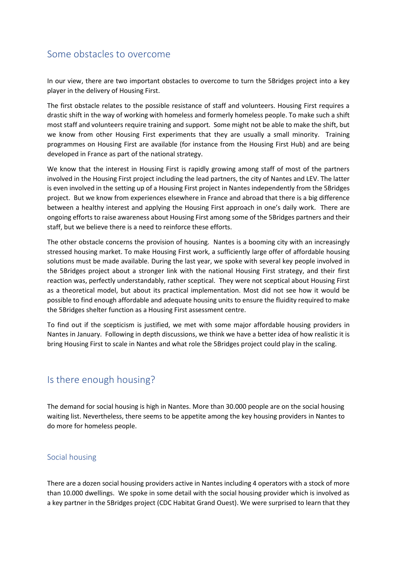### <span id="page-7-0"></span>Some obstacles to overcome

In our view, there are two important obstacles to overcome to turn the 5Bridges project into a key player in the delivery of Housing First.

The first obstacle relates to the possible resistance of staff and volunteers. Housing First requires a drastic shift in the way of working with homeless and formerly homeless people. To make such a shift most staff and volunteers require training and support. Some might not be able to make the shift, but we know from other Housing First experiments that they are usually a small minority. Training programmes on Housing First are available (for instance from the Housing First Hub) and are being developed in France as part of the national strategy.

We know that the interest in Housing First is rapidly growing among staff of most of the partners involved in the Housing First project including the lead partners, the city of Nantes and LEV. The latter is even involved in the setting up of a Housing First project in Nantes independently from the 5Bridges project. But we know from experiences elsewhere in France and abroad that there is a big difference between a healthy interest and applying the Housing First approach in one's daily work. There are ongoing efforts to raise awareness about Housing First among some of the 5Bridges partners and their staff, but we believe there is a need to reinforce these efforts.

The other obstacle concerns the provision of housing. Nantes is a booming city with an increasingly stressed housing market. To make Housing First work, a sufficiently large offer of affordable housing solutions must be made available. During the last year, we spoke with several key people involved in the 5Bridges project about a stronger link with the national Housing First strategy, and their first reaction was, perfectly understandably, rather sceptical. They were not sceptical about Housing First as a theoretical model, but about its practical implementation. Most did not see how it would be possible to find enough affordable and adequate housing units to ensure the fluidity required to make the 5Bridges shelter function as a Housing First assessment centre.

To find out if the scepticism is justified, we met with some major affordable housing providers in Nantes in January. Following in depth discussions, we think we have a better idea of how realistic it is bring Housing First to scale in Nantes and what role the 5Bridges project could play in the scaling.

## <span id="page-7-1"></span>Is there enough housing?

The demand for social housing is high in Nantes. More than 30.000 people are on the social housing waiting list. Nevertheless, there seems to be appetite among the key housing providers in Nantes to do more for homeless people.

#### <span id="page-7-2"></span>Social housing

There are a dozen social housing providers active in Nantes including 4 operators with a stock of more than 10.000 dwellings. We spoke in some detail with the social housing provider which is involved as a key partner in the 5Bridges project (CDC Habitat Grand Ouest). We were surprised to learn that they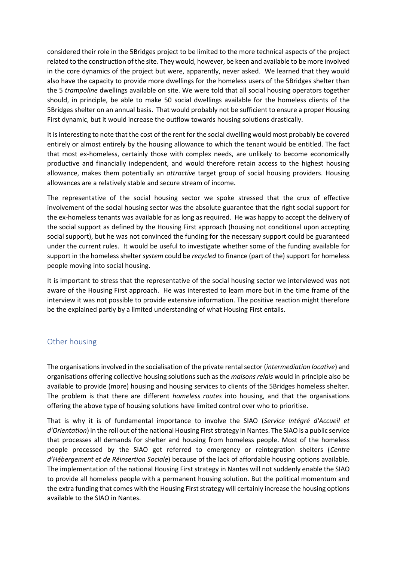considered their role in the 5Bridges project to be limited to the more technical aspects of the project related to the construction of the site. They would, however, be keen and available to be more involved in the core dynamics of the project but were, apparently, never asked. We learned that they would also have the capacity to provide more dwellings for the homeless users of the 5Bridges shelter than the 5 *trampoline* dwellings available on site. We were told that all social housing operators together should, in principle, be able to make 50 social dwellings available for the homeless clients of the 5Bridges shelter on an annual basis. That would probably not be sufficient to ensure a proper Housing First dynamic, but it would increase the outflow towards housing solutions drastically.

It is interesting to note that the cost of the rent for the social dwelling would most probably be covered entirely or almost entirely by the housing allowance to which the tenant would be entitled. The fact that most ex-homeless, certainly those with complex needs, are unlikely to become economically productive and financially independent, and would therefore retain access to the highest housing allowance, makes them potentially an *attractive* target group of social housing providers. Housing allowances are a relatively stable and secure stream of income.

The representative of the social housing sector we spoke stressed that the crux of effective involvement of the social housing sector was the absolute guarantee that the right social support for the ex-homeless tenants was available for as long as required. He was happy to accept the delivery of the social support as defined by the Housing First approach (housing not conditional upon accepting social support), but he was not convinced the funding for the necessary support could be guaranteed under the current rules. It would be useful to investigate whether some of the funding available for support in the homeless shelter *system* could be *recycled* to finance (part of the) support for homeless people moving into social housing.

It is important to stress that the representative of the social housing sector we interviewed was not aware of the Housing First approach. He was interested to learn more but in the time frame of the interview it was not possible to provide extensive information. The positive reaction might therefore be the explained partly by a limited understanding of what Housing First entails.

#### <span id="page-8-0"></span>Other housing

The organisations involved in the socialisation of the private rental sector (*intermediation locative*) and organisations offering collective housing solutions such as the *maisons relais* would in principle also be available to provide (more) housing and housing services to clients of the 5Bridges homeless shelter. The problem is that there are different *homeless routes* into housing, and that the organisations offering the above type of housing solutions have limited control over who to prioritise.

That is why it is of fundamental importance to involve the SIAO (*Service Intégré d'Accueil et d'Orientation*) in the roll out of the national Housing First strategy in Nantes. The SIAO is a public service that processes all demands for shelter and housing from homeless people. Most of the homeless people processed by the SIAO get referred to emergency or reintegration shelters (*Centre d'Hébergement et de Réinsertion Sociale*) because of the lack of affordable housing options available. The implementation of the national Housing First strategy in Nantes will not suddenly enable the SIAO to provide all homeless people with a permanent housing solution. But the political momentum and the extra funding that comes with the Housing First strategy will certainly increase the housing options available to the SIAO in Nantes.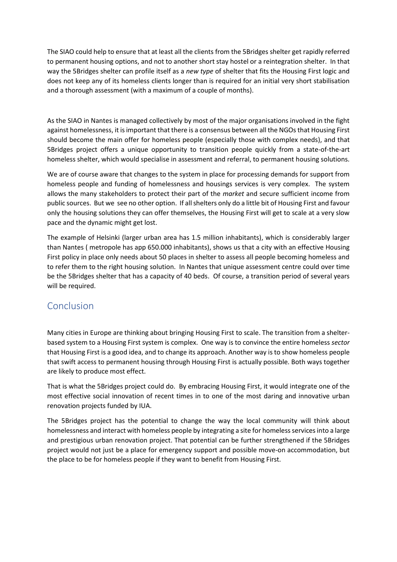The SIAO could help to ensure that at least all the clients from the 5Bridges shelter get rapidly referred to permanent housing options, and not to another short stay hostel or a reintegration shelter. In that way the 5Bridges shelter can profile itself as a *new type* of shelter that fits the Housing First logic and does not keep any of its homeless clients longer than is required for an initial very short stabilisation and a thorough assessment (with a maximum of a couple of months).

As the SIAO in Nantes is managed collectively by most of the major organisations involved in the fight against homelessness, it is important that there is a consensus between all the NGOs that Housing First should become the main offer for homeless people (especially those with complex needs), and that 5Bridges project offers a unique opportunity to transition people quickly from a state-of-the-art homeless shelter, which would specialise in assessment and referral, to permanent housing solutions.

We are of course aware that changes to the system in place for processing demands for support from homeless people and funding of homelessness and housings services is very complex. The system allows the many stakeholders to protect their part of the *market* and secure sufficient income from public sources. But we see no other option. If all shelters only do a little bit of Housing First and favour only the housing solutions they can offer themselves, the Housing First will get to scale at a very slow pace and the dynamic might get lost.

The example of Helsinki (larger urban area has 1.5 million inhabitants), which is considerably larger than Nantes ( metropole has app 650.000 inhabitants), shows us that a city with an effective Housing First policy in place only needs about 50 places in shelter to assess all people becoming homeless and to refer them to the right housing solution. In Nantes that unique assessment centre could over time be the 5Bridges shelter that has a capacity of 40 beds. Of course, a transition period of several years will be required.

#### <span id="page-9-0"></span>Conclusion

Many cities in Europe are thinking about bringing Housing First to scale. The transition from a shelterbased system to a Housing First system is complex. One way is to convince the entire homeless *sector* that Housing First is a good idea, and to change its approach. Another way is to show homeless people that swift access to permanent housing through Housing First is actually possible. Both ways together are likely to produce most effect.

That is what the 5Bridges project could do. By embracing Housing First, it would integrate one of the most effective social innovation of recent times in to one of the most daring and innovative urban renovation projects funded by IUA.

The 5Bridges project has the potential to change the way the local community will think about homelessness and interact with homeless people by integrating a site for homeless services into a large and prestigious urban renovation project. That potential can be further strengthened if the 5Bridges project would not just be a place for emergency support and possible move-on accommodation, but the place to be for homeless people if they want to benefit from Housing First.